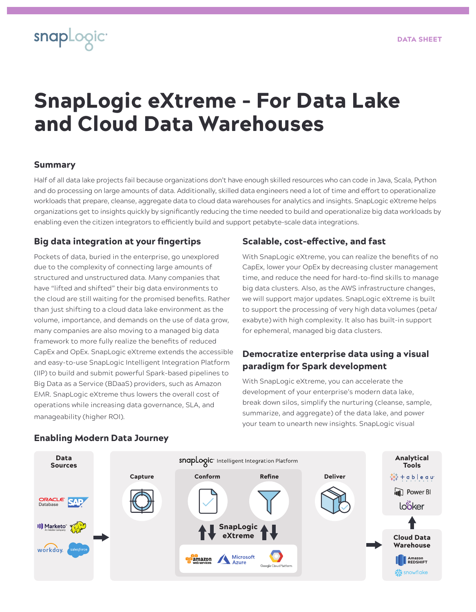# SnapLogic eXtreme - For Data Lake and Cloud Data Warehouses

# Summary

snapLogic<sup>.</sup>

Half of all data lake projects fail because organizations don't have enough skilled resources who can code in Java, Scala, Python and do processing on large amounts of data. Additionally, skilled data engineers need a lot of time and effort to operationalize workloads that prepare, cleanse, aggregate data to cloud data warehouses for analytics and insights. SnapLogic eXtreme helps organizations get to insights quickly by significantly reducing the time needed to build and operationalize big data workloads by enabling even the citizen integrators to efficiently build and support petabyte-scale data integrations.

# Big data integration at your fingertips

Pockets of data, buried in the enterprise, go unexplored due to the complexity of connecting large amounts of structured and unstructured data. Many companies that have "lifted and shifted" their big data environments to the cloud are still waiting for the promised benefits. Rather than just shifting to a cloud data lake environment as the volume, importance, and demands on the use of data grow, many companies are also moving to a managed big data framework to more fully realize the benefits of reduced CapEx and OpEx. SnapLogic eXtreme extends the accessible and easy-to-use SnapLogic Intelligent Integration Platform (IIP) to build and submit powerful Spark-based pipelines to Big Data as a Service (BDaaS) providers, such as Amazon EMR. SnapLogic eXtreme thus lowers the overall cost of operations while increasing data governance, SLA, and manageability (higher ROI).

# Scalable, cost-effective, and fast

With SnapLogic eXtreme, you can realize the benefits of no CapEx, lower your OpEx by decreasing cluster management time, and reduce the need for hard-to-find skills to manage big data clusters. Also, as the AWS infrastructure changes, we will support major updates. SnapLogic eXtreme is built to support the processing of very high data volumes (peta/ exabyte) with high complexity. It also has built-in support for ephemeral, managed big data clusters.

# Democratize enterprise data using a visual paradigm for Spark development

With SnapLogic eXtreme, you can accelerate the development of your enterprise's modern data lake, break down silos, simplify the nurturing (cleanse, sample, summarize, and aggregate) of the data lake, and power your team to unearth new insights. SnapLogic visual



## Enabling Modern Data Journey